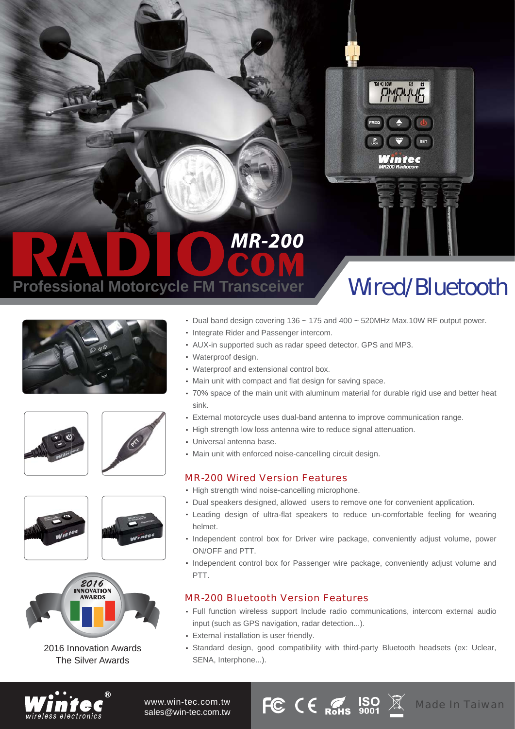

## **MR-200 Professional Motorcycle FM Transceiver**

## Wired/Bluetooth













2016 Innovation Awards The Silver Awards

- Dual band design covering 136 ~ 175 and 400 ~ 520MHz Max.10W RF output power.
- Integrate Rider and Passenger intercom.
- AUX-in supported such as radar speed detector, GPS and MP3. ‧
- Waterproof design. ‧
- Waterproof and extensional control box. ‧
- Main unit with compact and flat design for saving space. ‧
- 70% space of the main unit with aluminum material for durable rigid use and better heat ‧ sink.
- External motorcycle uses dual-band antenna to improve communication range. ‧
- High strength low loss antenna wire to reduce signal attenuation.
- Universal antenna base. ‧
- Main unit with enforced noise-cancelling circuit design. ‧

## MR-200 Wired Version Features

- High strength wind noise-cancelling microphone.
- Dual speakers designed, allowed users to remove one for convenient application. ‧
- Leading design of ultra-flat speakers to reduce un-comfortable feeling for wearing ‧ helmet.
- Independent control box for Driver wire package, conveniently adjust volume, power ON/OFF and PTT.
- Independent control box for Passenger wire package, conveniently adjust volume and PTT.

## MR-200 Bluetooth Version Features

- Full function wireless support Include radio communications, intercom external audio ‧ input (such as GPS navigation, radar detection...).
- External installation is user friendly. ‧
- Standard design, good compatibility with third-party Bluetooth headsets (ex: Uclear, ‧ SENA, Interphone...).



www.win-tec.com.tw sales@win-tec.com.tw